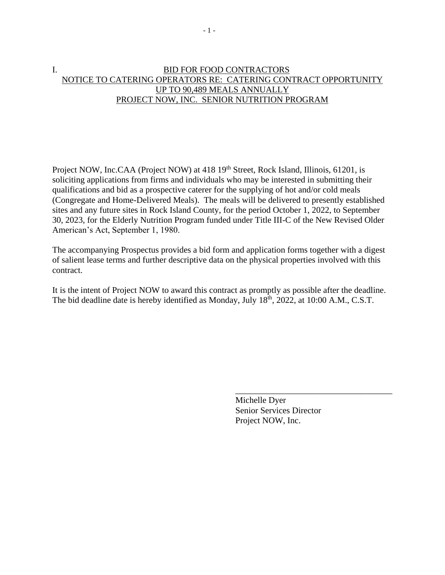# I. BID FOR FOOD CONTRACTORS NOTICE TO CATERING OPERATORS RE: CATERING CONTRACT OPPORTUNITY UP TO 90,489 MEALS ANNUALLY PROJECT NOW, INC. SENIOR NUTRITION PROGRAM

Project NOW, Inc.CAA (Project NOW) at 418 19<sup>th</sup> Street, Rock Island, Illinois, 61201, is soliciting applications from firms and individuals who may be interested in submitting their qualifications and bid as a prospective caterer for the supplying of hot and/or cold meals (Congregate and Home-Delivered Meals). The meals will be delivered to presently established sites and any future sites in Rock Island County, for the period October 1, 2022, to September 30, 2023, for the Elderly Nutrition Program funded under Title III-C of the New Revised Older American's Act, September 1, 1980.

The accompanying Prospectus provides a bid form and application forms together with a digest of salient lease terms and further descriptive data on the physical properties involved with this contract.

It is the intent of Project NOW to award this contract as promptly as possible after the deadline. The bid deadline date is hereby identified as Monday, July 18<sup>th</sup>, 2022, at 10:00 A.M., C.S.T.

> Michelle Dyer Senior Services Director Project NOW, Inc.

\_\_\_\_\_\_\_\_\_\_\_\_\_\_\_\_\_\_\_\_\_\_\_\_\_\_\_\_\_\_\_\_\_\_\_\_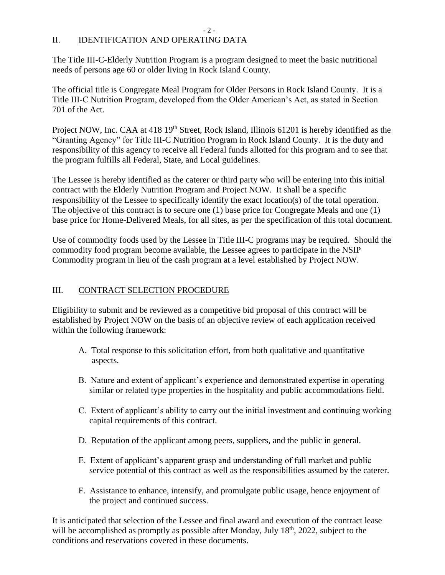# II. IDENTIFICATION AND OPERATING DATA

The Title III-C-Elderly Nutrition Program is a program designed to meet the basic nutritional needs of persons age 60 or older living in Rock Island County.

- 2 -

The official title is Congregate Meal Program for Older Persons in Rock Island County. It is a Title III-C Nutrition Program, developed from the Older American's Act, as stated in Section 701 of the Act.

Project NOW, Inc. CAA at 418 19<sup>th</sup> Street, Rock Island, Illinois 61201 is hereby identified as the "Granting Agency" for Title III-C Nutrition Program in Rock Island County. It is the duty and responsibility of this agency to receive all Federal funds allotted for this program and to see that the program fulfills all Federal, State, and Local guidelines.

The Lessee is hereby identified as the caterer or third party who will be entering into this initial contract with the Elderly Nutrition Program and Project NOW. It shall be a specific responsibility of the Lessee to specifically identify the exact location(s) of the total operation. The objective of this contract is to secure one (1) base price for Congregate Meals and one (1) base price for Home-Delivered Meals, for all sites, as per the specification of this total document.

Use of commodity foods used by the Lessee in Title III-C programs may be required. Should the commodity food program become available, the Lessee agrees to participate in the NSIP Commodity program in lieu of the cash program at a level established by Project NOW.

# III. CONTRACT SELECTION PROCEDURE

Eligibility to submit and be reviewed as a competitive bid proposal of this contract will be established by Project NOW on the basis of an objective review of each application received within the following framework:

- A. Total response to this solicitation effort, from both qualitative and quantitative aspects.
- B. Nature and extent of applicant's experience and demonstrated expertise in operating similar or related type properties in the hospitality and public accommodations field.
- C. Extent of applicant's ability to carry out the initial investment and continuing working capital requirements of this contract.
- D. Reputation of the applicant among peers, suppliers, and the public in general.
- E. Extent of applicant's apparent grasp and understanding of full market and public service potential of this contract as well as the responsibilities assumed by the caterer.
- F. Assistance to enhance, intensify, and promulgate public usage, hence enjoyment of the project and continued success.

It is anticipated that selection of the Lessee and final award and execution of the contract lease will be accomplished as promptly as possible after Monday, July 18<sup>th</sup>, 2022, subject to the conditions and reservations covered in these documents.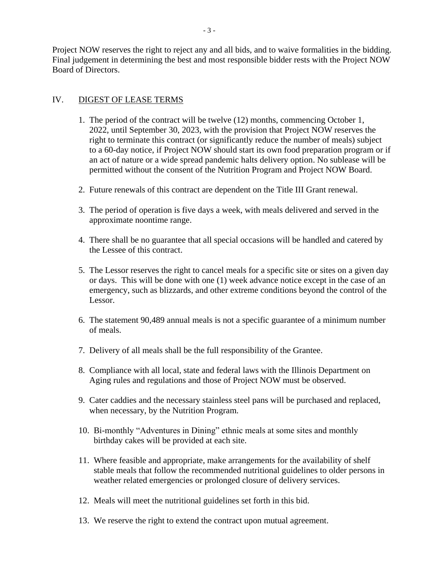Project NOW reserves the right to reject any and all bids, and to waive formalities in the bidding. Final judgement in determining the best and most responsible bidder rests with the Project NOW Board of Directors.

### IV. DIGEST OF LEASE TERMS

- 1. The period of the contract will be twelve (12) months, commencing October 1, 2022, until September 30, 2023, with the provision that Project NOW reserves the right to terminate this contract (or significantly reduce the number of meals) subject to a 60-day notice, if Project NOW should start its own food preparation program or if an act of nature or a wide spread pandemic halts delivery option. No sublease will be permitted without the consent of the Nutrition Program and Project NOW Board.
- 2. Future renewals of this contract are dependent on the Title III Grant renewal.
- 3. The period of operation is five days a week, with meals delivered and served in the approximate noontime range.
- 4. There shall be no guarantee that all special occasions will be handled and catered by the Lessee of this contract.
- 5. The Lessor reserves the right to cancel meals for a specific site or sites on a given day or days. This will be done with one (1) week advance notice except in the case of an emergency, such as blizzards, and other extreme conditions beyond the control of the Lessor.
- 6. The statement 90,489 annual meals is not a specific guarantee of a minimum number of meals.
- 7. Delivery of all meals shall be the full responsibility of the Grantee.
- 8. Compliance with all local, state and federal laws with the Illinois Department on Aging rules and regulations and those of Project NOW must be observed.
- 9. Cater caddies and the necessary stainless steel pans will be purchased and replaced, when necessary, by the Nutrition Program.
- 10. Bi-monthly "Adventures in Dining" ethnic meals at some sites and monthly birthday cakes will be provided at each site.
- 11. Where feasible and appropriate, make arrangements for the availability of shelf stable meals that follow the recommended nutritional guidelines to older persons in weather related emergencies or prolonged closure of delivery services.
- 12. Meals will meet the nutritional guidelines set forth in this bid.
- 13. We reserve the right to extend the contract upon mutual agreement.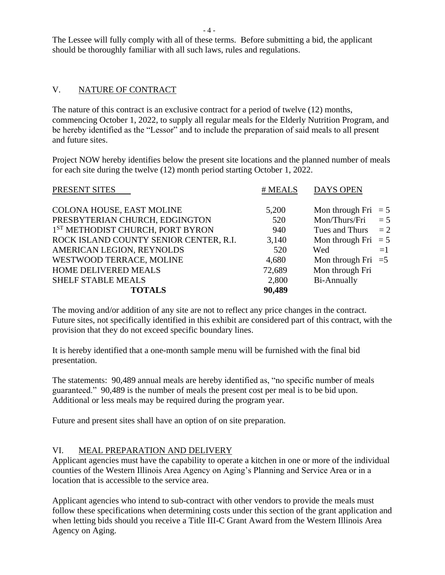The Lessee will fully comply with all of these terms. Before submitting a bid, the applicant should be thoroughly familiar with all such laws, rules and regulations.

# V. NATURE OF CONTRACT

The nature of this contract is an exclusive contract for a period of twelve (12) months, commencing October 1, 2022, to supply all regular meals for the Elderly Nutrition Program, and be hereby identified as the "Lessor" and to include the preparation of said meals to all present and future sites.

Project NOW hereby identifies below the present site locations and the planned number of meals for each site during the twelve (12) month period starting October 1, 2022.

| PRESENT SITES                                | # MEALS | <b>DAYS OPEN</b>      |       |
|----------------------------------------------|---------|-----------------------|-------|
| COLONA HOUSE, EAST MOLINE                    | 5,200   | Mon through Fri $= 5$ |       |
| PRESBYTERIAN CHURCH, EDGINGTON               | 520     | Mon/Thurs/Fri         | $= 5$ |
| 1 <sup>ST</sup> METHODIST CHURCH, PORT BYRON | 940     | Tues and Thurs        | $=2$  |
| ROCK ISLAND COUNTY SENIOR CENTER, R.I.       | 3,140   | Mon through Fri $= 5$ |       |
| AMERICAN LEGION, REYNOLDS                    | 520     | Wed                   | $=1$  |
| WESTWOOD TERRACE, MOLINE                     | 4,680   | Mon through Fri $=5$  |       |
| HOME DELIVERED MEALS                         | 72,689  | Mon through Fri       |       |
| <b>SHELF STABLE MEALS</b>                    | 2,800   | Bi-Annually           |       |
| <b>TOTALS</b>                                | 90,489  |                       |       |

The moving and/or addition of any site are not to reflect any price changes in the contract. Future sites, not specifically identified in this exhibit are considered part of this contract, with the provision that they do not exceed specific boundary lines.

It is hereby identified that a one-month sample menu will be furnished with the final bid presentation.

The statements: 90,489 annual meals are hereby identified as, "no specific number of meals guaranteed." 90,489 is the number of meals the present cost per meal is to be bid upon. Additional or less meals may be required during the program year.

Future and present sites shall have an option of on site preparation.

# VI. MEAL PREPARATION AND DELIVERY

Applicant agencies must have the capability to operate a kitchen in one or more of the individual counties of the Western Illinois Area Agency on Aging's Planning and Service Area or in a location that is accessible to the service area.

Applicant agencies who intend to sub-contract with other vendors to provide the meals must follow these specifications when determining costs under this section of the grant application and when letting bids should you receive a Title III-C Grant Award from the Western Illinois Area Agency on Aging.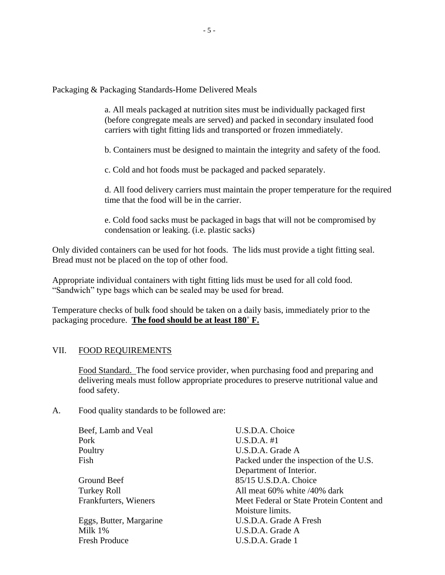Packaging & Packaging Standards-Home Delivered Meals

a. All meals packaged at nutrition sites must be individually packaged first (before congregate meals are served) and packed in secondary insulated food carriers with tight fitting lids and transported or frozen immediately.

b. Containers must be designed to maintain the integrity and safety of the food.

c. Cold and hot foods must be packaged and packed separately.

d. All food delivery carriers must maintain the proper temperature for the required time that the food will be in the carrier.

e. Cold food sacks must be packaged in bags that will not be compromised by condensation or leaking. (i.e. plastic sacks)

Only divided containers can be used for hot foods. The lids must provide a tight fitting seal. Bread must not be placed on the top of other food.

Appropriate individual containers with tight fitting lids must be used for all cold food. "Sandwich" type bags which can be sealed may be used for bread.

Temperature checks of bulk food should be taken on a daily basis, immediately prior to the packaging procedure. **The food should be at least 180˚ F.**

### VII. FOOD REQUIREMENTS

Food Standard. The food service provider, when purchasing food and preparing and delivering meals must follow appropriate procedures to preserve nutritional value and food safety.

A. Food quality standards to be followed are:

| Beef, Lamb and Veal     | U.S.D.A. Choice                           |
|-------------------------|-------------------------------------------|
| Pork                    | U.S.D.A. #1                               |
| Poultry                 | U.S.D.A. Grade A                          |
| Fish                    | Packed under the inspection of the U.S.   |
|                         | Department of Interior.                   |
| Ground Beef             | 85/15 U.S.D.A. Choice                     |
| Turkey Roll             | All meat 60% white /40% dark              |
| Frankfurters, Wieners   | Meet Federal or State Protein Content and |
|                         | Moisture limits.                          |
| Eggs, Butter, Margarine | U.S.D.A. Grade A Fresh                    |
| Milk 1%                 | U.S.D.A. Grade A                          |
| <b>Fresh Produce</b>    | U.S.D.A. Grade 1                          |
|                         |                                           |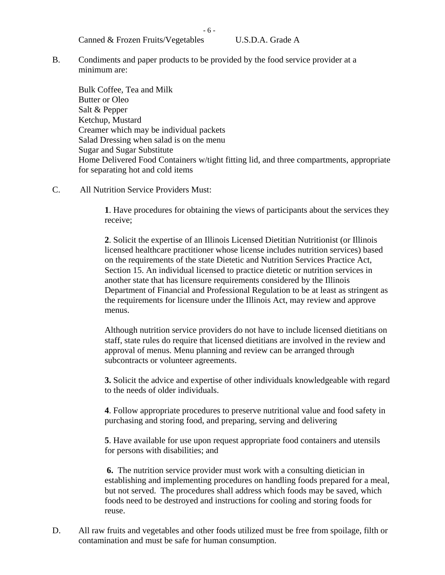Canned & Frozen Fruits/Vegetables U.S.D.A. Grade A

B. Condiments and paper products to be provided by the food service provider at a minimum are:

- 6 -

Bulk Coffee, Tea and Milk Butter or Oleo Salt & Pepper Ketchup, Mustard Creamer which may be individual packets Salad Dressing when salad is on the menu Sugar and Sugar Substitute Home Delivered Food Containers w/tight fitting lid, and three compartments, appropriate for separating hot and cold items

C. All Nutrition Service Providers Must:

**1**. Have procedures for obtaining the views of participants about the services they receive;

**2**. Solicit the expertise of an Illinois Licensed Dietitian Nutritionist (or Illinois licensed healthcare practitioner whose license includes nutrition services) based on the requirements of the state Dietetic and Nutrition Services Practice Act, Section 15. An individual licensed to practice dietetic or nutrition services in another state that has licensure requirements considered by the Illinois Department of Financial and Professional Regulation to be at least as stringent as the requirements for licensure under the Illinois Act, may review and approve menus.

Although nutrition service providers do not have to include licensed dietitians on staff, state rules do require that licensed dietitians are involved in the review and approval of menus. Menu planning and review can be arranged through subcontracts or volunteer agreements.

**3.** Solicit the advice and expertise of other individuals knowledgeable with regard to the needs of older individuals.

**4**. Follow appropriate procedures to preserve nutritional value and food safety in purchasing and storing food, and preparing, serving and delivering

**5**. Have available for use upon request appropriate food containers and utensils for persons with disabilities; and

**6.** The nutrition service provider must work with a consulting dietician in establishing and implementing procedures on handling foods prepared for a meal, but not served. The procedures shall address which foods may be saved, which foods need to be destroyed and instructions for cooling and storing foods for reuse.

D. All raw fruits and vegetables and other foods utilized must be free from spoilage, filth or contamination and must be safe for human consumption.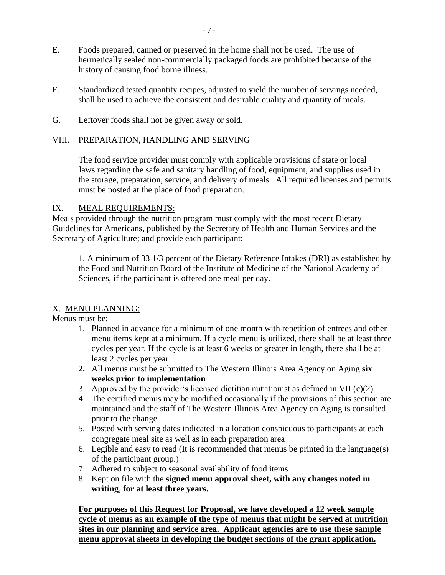- E. Foods prepared, canned or preserved in the home shall not be used. The use of hermetically sealed non-commercially packaged foods are prohibited because of the history of causing food borne illness.
- F. Standardized tested quantity recipes, adjusted to yield the number of servings needed, shall be used to achieve the consistent and desirable quality and quantity of meals.
- G. Leftover foods shall not be given away or sold.

### VIII. PREPARATION, HANDLING AND SERVING

The food service provider must comply with applicable provisions of state or local laws regarding the safe and sanitary handling of food, equipment, and supplies used in the storage, preparation, service, and delivery of meals. All required licenses and permits must be posted at the place of food preparation.

### IX. MEAL REQUIREMENTS:

Meals provided through the nutrition program must comply with the most recent Dietary Guidelines for Americans, published by the Secretary of Health and Human Services and the Secretary of Agriculture; and provide each participant:

1. A minimum of 33 1/3 percent of the Dietary Reference Intakes (DRI) as established by the Food and Nutrition Board of the Institute of Medicine of the National Academy of Sciences, if the participant is offered one meal per day.

### X. MENU PLANNING:

Menus must be:

- 1. Planned in advance for a minimum of one month with repetition of entrees and other menu items kept at a minimum. If a cycle menu is utilized, there shall be at least three cycles per year. If the cycle is at least 6 weeks or greater in length, there shall be at least 2 cycles per year
- **2.** All menus must be submitted to The Western Illinois Area Agency on Aging **six weeks prior to implementation**
- 3. Approved by the provider's licensed dietitian nutritionist as defined in VII  $(c)(2)$
- 4. The certified menus may be modified occasionally if the provisions of this section are maintained and the staff of The Western Illinois Area Agency on Aging is consulted prior to the change
- 5. Posted with serving dates indicated in a location conspicuous to participants at each congregate meal site as well as in each preparation area
- 6. Legible and easy to read (It is recommended that menus be printed in the language(s) of the participant group.)
- 7. Adhered to subject to seasonal availability of food items
- 8. Kept on file with the **signed menu approval sheet, with any changes noted in writing**, **for at least three years.**

**For purposes of this Request for Proposal, we have developed a 12 week sample cycle of menus as an example of the type of menus that might be served at nutrition sites in our planning and service area. Applicant agencies are to use these sample menu approval sheets in developing the budget sections of the grant application.**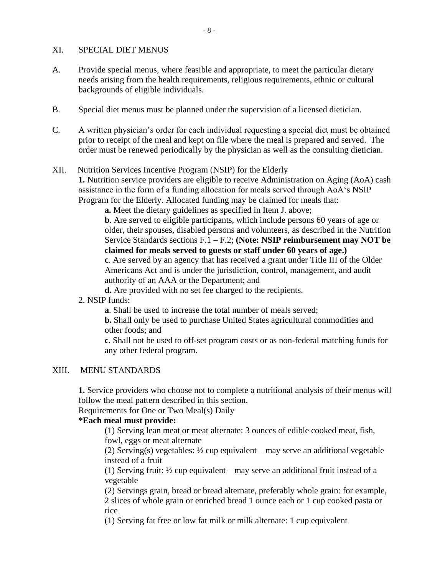#### XI. SPECIAL DIET MENUS

- A. Provide special menus, where feasible and appropriate, to meet the particular dietary needs arising from the health requirements, religious requirements, ethnic or cultural backgrounds of eligible individuals.
- B. Special diet menus must be planned under the supervision of a licensed dietician.
- C. A written physician's order for each individual requesting a special diet must be obtained prior to receipt of the meal and kept on file where the meal is prepared and served. The order must be renewed periodically by the physician as well as the consulting dietician.

### XII. Nutrition Services Incentive Program (NSIP) for the Elderly

**1.** Nutrition service providers are eligible to receive Administration on Aging (AoA) cash assistance in the form of a funding allocation for meals served through AoA's NSIP Program for the Elderly. Allocated funding may be claimed for meals that:

**a.** Meet the dietary guidelines as specified in Item J. above;

**b**. Are served to eligible participants, which include persons 60 years of age or older, their spouses, disabled persons and volunteers, as described in the Nutrition Service Standards sections F.1 – F.2; **(Note: NSIP reimbursement may NOT be claimed for meals served to guests or staff under 60 years of age.)**

**c**. Are served by an agency that has received a grant under Title III of the Older Americans Act and is under the jurisdiction, control, management, and audit authority of an AAA or the Department; and

**d.** Are provided with no set fee charged to the recipients.

2. NSIP funds:

**a**. Shall be used to increase the total number of meals served;

**b.** Shall only be used to purchase United States agricultural commodities and other foods; and

**c**. Shall not be used to off-set program costs or as non-federal matching funds for any other federal program.

#### XIII. MENU STANDARDS

**1.** Service providers who choose not to complete a nutritional analysis of their menus will follow the meal pattern described in this section.

Requirements for One or Two Meal(s) Daily

### **\*Each meal must provide:**

(1) Serving lean meat or meat alternate: 3 ounces of edible cooked meat, fish, fowl, eggs or meat alternate

(2) Serving(s) vegetables: ½ cup equivalent – may serve an additional vegetable instead of a fruit

(1) Serving fruit:  $\frac{1}{2}$  cup equivalent – may serve an additional fruit instead of a vegetable

(2) Servings grain, bread or bread alternate, preferably whole grain: for example, 2 slices of whole grain or enriched bread 1 ounce each or 1 cup cooked pasta or rice

(1) Serving fat free or low fat milk or milk alternate: 1 cup equivalent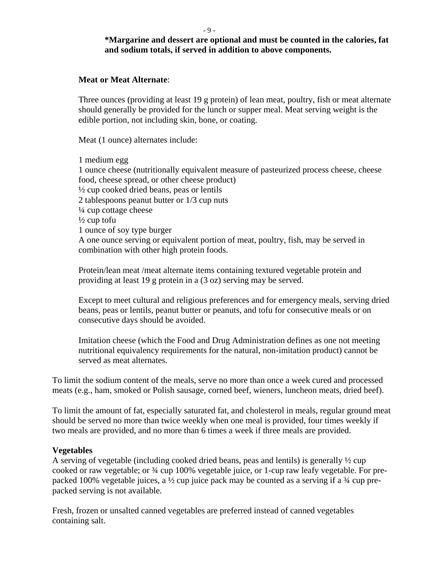#### - 9 -

### **\*Margarine and dessert are optional and must be counted in the calories, fat and sodium totals, if served in addition to above components.**

#### **Meat or Meat Alternate**:

Three ounces (providing at least 19 g protein) of lean meat, poultry, fish or meat alternate should generally be provided for the lunch or supper meal. Meat serving weight is the edible portion, not including skin, bone, or coating.

Meat (1 ounce) alternates include:

1 medium egg 1 ounce cheese (nutritionally equivalent measure of pasteurized process cheese, cheese food, cheese spread, or other cheese product)  $\frac{1}{2}$  cup cooked dried beans, peas or lentils 2 tablespoons peanut butter or 1/3 cup nuts  $\frac{1}{4}$  cup cottage cheese  $\frac{1}{2}$  cup tofu 1 ounce of soy type burger A one ounce serving or equivalent portion of meat, poultry, fish, may be served in combination with other high protein foods.

Protein/lean meat /meat alternate items containing textured vegetable protein and providing at least 19 g protein in a (3 oz) serving may be served.

Except to meet cultural and religious preferences and for emergency meals, serving dried beans, peas or lentils, peanut butter or peanuts, and tofu for consecutive meals or on consecutive days should be avoided.

Imitation cheese (which the Food and Drug Administration defines as one not meeting nutritional equivalency requirements for the natural, non-imitation product) cannot be served as meat alternates.

To limit the sodium content of the meals, serve no more than once a week cured and processed meats (e.g., ham, smoked or Polish sausage, corned beef, wieners, luncheon meats, dried beef).

To limit the amount of fat, especially saturated fat, and cholesterol in meals, regular ground meat should be served no more than twice weekly when one meal is provided, four times weekly if two meals are provided, and no more than 6 times a week if three meals are provided.

#### **Vegetables**

A serving of vegetable (including cooked dried beans, peas and lentils) is generally ½ cup cooked or raw vegetable; or ¾ cup 100% vegetable juice, or 1-cup raw leafy vegetable. For prepacked 100% vegetable juices, a  $\frac{1}{2}$  cup juice pack may be counted as a serving if a  $\frac{3}{4}$  cup prepacked serving is not available.

Fresh, frozen or unsalted canned vegetables are preferred instead of canned vegetables containing salt.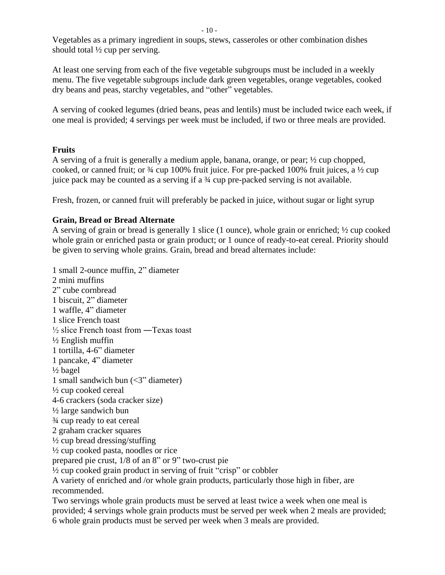Vegetables as a primary ingredient in soups, stews, casseroles or other combination dishes should total ½ cup per serving.

At least one serving from each of the five vegetable subgroups must be included in a weekly menu. The five vegetable subgroups include dark green vegetables, orange vegetables, cooked dry beans and peas, starchy vegetables, and "other" vegetables.

A serving of cooked legumes (dried beans, peas and lentils) must be included twice each week, if one meal is provided; 4 servings per week must be included, if two or three meals are provided.

### **Fruits**

A serving of a fruit is generally a medium apple, banana, orange, or pear; ½ cup chopped, cooked, or canned fruit; or  $\frac{3}{4}$  cup 100% fruit juice. For pre-packed 100% fruit juices, a  $\frac{1}{2}$  cup juice pack may be counted as a serving if a ¾ cup pre-packed serving is not available.

Fresh, frozen, or canned fruit will preferably be packed in juice, without sugar or light syrup

### **Grain, Bread or Bread Alternate**

A serving of grain or bread is generally 1 slice (1 ounce), whole grain or enriched; ½ cup cooked whole grain or enriched pasta or grain product; or 1 ounce of ready-to-eat cereal. Priority should be given to serving whole grains. Grain, bread and bread alternates include:

1 small 2-ounce muffin, 2" diameter 2 mini muffins 2" cube cornbread 1 biscuit, 2" diameter 1 waffle, 4" diameter 1 slice French toast ½ slice French toast from ―Texas toast ½ English muffin 1 tortilla, 4-6" diameter 1 pancake, 4" diameter ½ bagel 1 small sandwich bun (<3" diameter) ½ cup cooked cereal 4-6 crackers (soda cracker size) ½ large sandwich bun ¾ cup ready to eat cereal 2 graham cracker squares ½ cup bread dressing/stuffing  $\frac{1}{2}$  cup cooked pasta, noodles or rice prepared pie crust, 1/8 of an 8" or 9" two-crust pie ½ cup cooked grain product in serving of fruit "crisp" or cobbler A variety of enriched and /or whole grain products, particularly those high in fiber, are recommended. Two servings whole grain products must be served at least twice a week when one meal is

provided; 4 servings whole grain products must be served per week when 2 meals are provided; 6 whole grain products must be served per week when 3 meals are provided.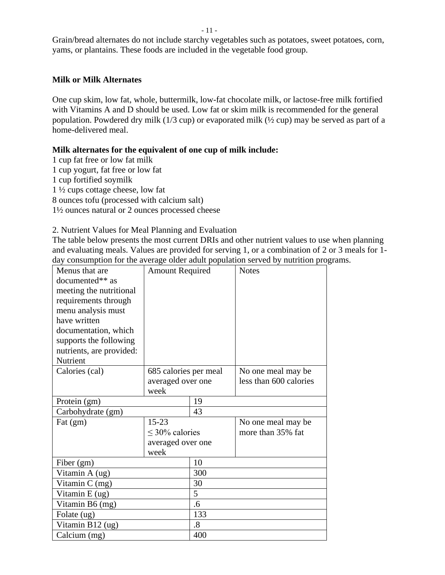- 11 -

Grain/bread alternates do not include starchy vegetables such as potatoes, sweet potatoes, corn, yams, or plantains. These foods are included in the vegetable food group.

### **Milk or Milk Alternates**

One cup skim, low fat, whole, buttermilk, low-fat chocolate milk, or lactose-free milk fortified with Vitamins A and D should be used. Low fat or skim milk is recommended for the general population. Powdered dry milk (1/3 cup) or evaporated milk (½ cup) may be served as part of a home-delivered meal.

### **Milk alternates for the equivalent of one cup of milk include:**

- 1 cup fat free or low fat milk
- 1 cup yogurt, fat free or low fat
- 1 cup fortified soymilk
- 1 ½ cups cottage cheese, low fat
- 8 ounces tofu (processed with calcium salt)
- 1½ ounces natural or 2 ounces processed cheese

### 2. Nutrient Values for Meal Planning and Evaluation

The table below presents the most current DRIs and other nutrient values to use when planning and evaluating meals. Values are provided for serving 1, or a combination of 2 or 3 meals for 1 day consumption for the average older adult population served by nutrition programs.

| Menus that are           | <b>Amount Required</b> |     | <b>Notes</b>           |
|--------------------------|------------------------|-----|------------------------|
| documented** as          |                        |     |                        |
| meeting the nutritional  |                        |     |                        |
| requirements through     |                        |     |                        |
| menu analysis must       |                        |     |                        |
| have written             |                        |     |                        |
| documentation, which     |                        |     |                        |
| supports the following   |                        |     |                        |
| nutrients, are provided: |                        |     |                        |
| Nutrient                 |                        |     |                        |
| Calories (cal)           | 685 calories per meal  |     | No one meal may be     |
|                          | averaged over one      |     | less than 600 calories |
|                          | week                   |     |                        |
| Protein (gm)             |                        | 19  |                        |
| Carbohydrate (gm)        |                        | 43  |                        |
| Fat $(gm)$               | $15 - 23$              |     | No one meal may be.    |
|                          | $\leq$ 30% calories    |     | more than 35% fat      |
|                          | averaged over one      |     |                        |
|                          | week                   |     |                        |
| Fiber (gm)               |                        | 10  |                        |
| Vitamin A (ug)           |                        | 300 |                        |
| Vitamin C (mg)           |                        | 30  |                        |
| Vitamin $E(ug)$          | 5                      |     |                        |
| Vitamin B6 (mg)          | .6                     |     |                        |
| Folate (ug)              |                        | 133 |                        |
| Vitamin B12 (ug)         |                        | .8  |                        |
| Calcium (mg)             |                        | 400 |                        |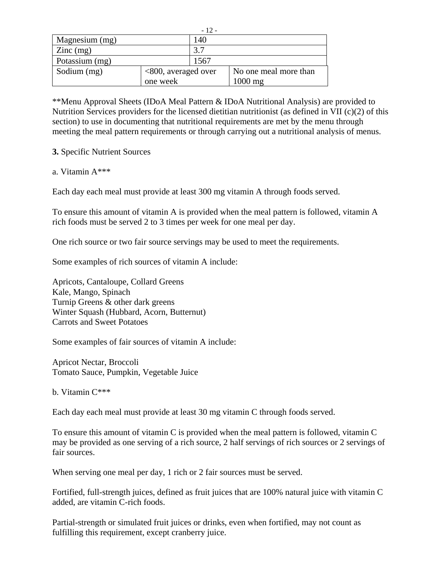|                            |                        | $-12-$ |                       |
|----------------------------|------------------------|--------|-----------------------|
| Magnesium (mg)             |                        | 140    |                       |
| $\text{Zinc} \text{ (mg)}$ |                        | 3.7    |                       |
| Potassium (mg)             |                        | 1567   |                       |
| Sodium (mg)                | $<800$ , averaged over |        | No one meal more than |
|                            | one week               |        | $1000$ mg             |

\*\*Menu Approval Sheets (IDoA Meal Pattern & IDoA Nutritional Analysis) are provided to Nutrition Services providers for the licensed dietitian nutritionist (as defined in VII (c)(2) of this section) to use in documenting that nutritional requirements are met by the menu through meeting the meal pattern requirements or through carrying out a nutritional analysis of menus.

### **3.** Specific Nutrient Sources

### a. Vitamin A\*\*\*

Each day each meal must provide at least 300 mg vitamin A through foods served.

To ensure this amount of vitamin A is provided when the meal pattern is followed, vitamin A rich foods must be served 2 to 3 times per week for one meal per day.

One rich source or two fair source servings may be used to meet the requirements.

Some examples of rich sources of vitamin A include:

Apricots, Cantaloupe, Collard Greens Kale, Mango, Spinach Turnip Greens & other dark greens Winter Squash (Hubbard, Acorn, Butternut) Carrots and Sweet Potatoes

Some examples of fair sources of vitamin A include:

Apricot Nectar, Broccoli Tomato Sauce, Pumpkin, Vegetable Juice

b. Vitamin C\*\*\*

Each day each meal must provide at least 30 mg vitamin C through foods served.

To ensure this amount of vitamin C is provided when the meal pattern is followed, vitamin C may be provided as one serving of a rich source, 2 half servings of rich sources or 2 servings of fair sources.

When serving one meal per day, 1 rich or 2 fair sources must be served.

Fortified, full-strength juices, defined as fruit juices that are 100% natural juice with vitamin C added, are vitamin C-rich foods.

Partial-strength or simulated fruit juices or drinks, even when fortified, may not count as fulfilling this requirement, except cranberry juice.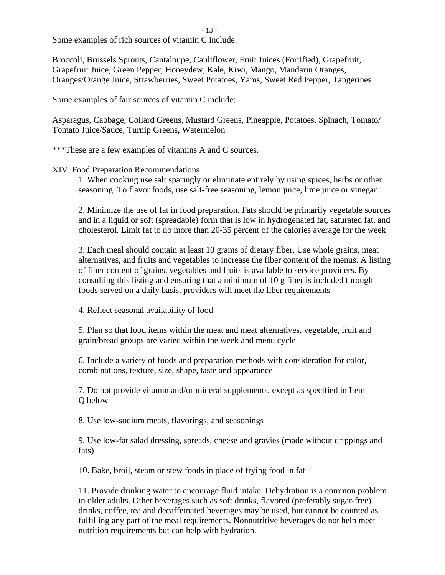- 13 -

Some examples of rich sources of vitamin C include:

Broccoli, Brussels Sprouts, Cantaloupe, Cauliflower, Fruit Juices (Fortified), Grapefruit, Grapefruit Juice, Green Pepper, Honeydew, Kale, Kiwi, Mango, Mandarin Oranges, Oranges/Orange Juice, Strawberries, Sweet Potatoes, Yams, Sweet Red Pepper, Tangerines

Some examples of fair sources of vitamin C include:

Asparagus, Cabbage, Collard Greens, Mustard Greens, Pineapple, Potatoes, Spinach, Tomato/ Tomato Juice/Sauce, Turnip Greens, Watermelon

\*\*\*These are a few examples of vitamins A and C sources.

### XIV. Food Preparation Recommendations

1. When cooking use salt sparingly or eliminate entirely by using spices, herbs or other seasoning. To flavor foods, use salt-free seasoning, lemon juice, lime juice or vinegar

2. Minimize the use of fat in food preparation. Fats should be primarily vegetable sources and in a liquid or soft (spreadable) form that is low in hydrogenated fat, saturated fat, and cholesterol. Limit fat to no more than 20-35 percent of the calories average for the week

3. Each meal should contain at least 10 grams of dietary fiber. Use whole grains, meat alternatives, and fruits and vegetables to increase the fiber content of the menus. A listing of fiber content of grains, vegetables and fruits is available to service providers. By consulting this listing and ensuring that a minimum of 10 g fiber is included through foods served on a daily basis, providers will meet the fiber requirements

4. Reflect seasonal availability of food

5. Plan so that food items within the meat and meat alternatives, vegetable, fruit and grain/bread groups are varied within the week and menu cycle

6. Include a variety of foods and preparation methods with consideration for color, combinations, texture, size, shape, taste and appearance

7. Do not provide vitamin and/or mineral supplements, except as specified in Item Q below

8. Use low-sodium meats, flavorings, and seasonings

9. Use low-fat salad dressing, spreads, cheese and gravies (made without drippings and fats)

10. Bake, broil, steam or stew foods in place of frying food in fat

11. Provide drinking water to encourage fluid intake. Dehydration is a common problem in older adults. Other beverages such as soft drinks, flavored (preferably sugar-free) drinks, coffee, tea and decaffeinated beverages may be used, but cannot be counted as fulfilling any part of the meal requirements. Nonnutritive beverages do not help meet nutrition requirements but can help with hydration.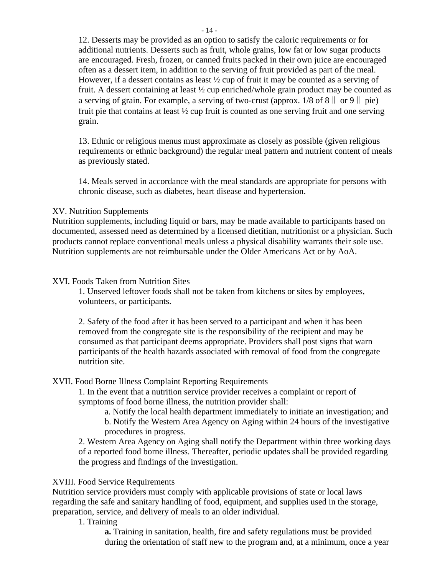12. Desserts may be provided as an option to satisfy the caloric requirements or for additional nutrients. Desserts such as fruit, whole grains, low fat or low sugar products are encouraged. Fresh, frozen, or canned fruits packed in their own juice are encouraged often as a dessert item, in addition to the serving of fruit provided as part of the meal. However, if a dessert contains as least ½ cup of fruit it may be counted as a serving of fruit. A dessert containing at least ½ cup enriched/whole grain product may be counted as a serving of grain. For example, a serving of two-crust (approx.  $1/8$  of  $8 \parallel \text{or } 9 \parallel \text{pie}$ ) fruit pie that contains at least ½ cup fruit is counted as one serving fruit and one serving grain.

13. Ethnic or religious menus must approximate as closely as possible (given religious requirements or ethnic background) the regular meal pattern and nutrient content of meals as previously stated.

14. Meals served in accordance with the meal standards are appropriate for persons with chronic disease, such as diabetes, heart disease and hypertension.

### XV. Nutrition Supplements

Nutrition supplements, including liquid or bars, may be made available to participants based on documented, assessed need as determined by a licensed dietitian, nutritionist or a physician. Such products cannot replace conventional meals unless a physical disability warrants their sole use. Nutrition supplements are not reimbursable under the Older Americans Act or by AoA.

### XVI. Foods Taken from Nutrition Sites

1. Unserved leftover foods shall not be taken from kitchens or sites by employees, volunteers, or participants.

2. Safety of the food after it has been served to a participant and when it has been removed from the congregate site is the responsibility of the recipient and may be consumed as that participant deems appropriate. Providers shall post signs that warn participants of the health hazards associated with removal of food from the congregate nutrition site.

### XVII. Food Borne Illness Complaint Reporting Requirements

1. In the event that a nutrition service provider receives a complaint or report of symptoms of food borne illness, the nutrition provider shall:

a. Notify the local health department immediately to initiate an investigation; and b. Notify the Western Area Agency on Aging within 24 hours of the investigative procedures in progress.

2. Western Area Agency on Aging shall notify the Department within three working days of a reported food borne illness. Thereafter, periodic updates shall be provided regarding the progress and findings of the investigation.

### XVIII. Food Service Requirements

Nutrition service providers must comply with applicable provisions of state or local laws regarding the safe and sanitary handling of food, equipment, and supplies used in the storage, preparation, service, and delivery of meals to an older individual.

1. Training

**a.** Training in sanitation, health, fire and safety regulations must be provided during the orientation of staff new to the program and, at a minimum, once a year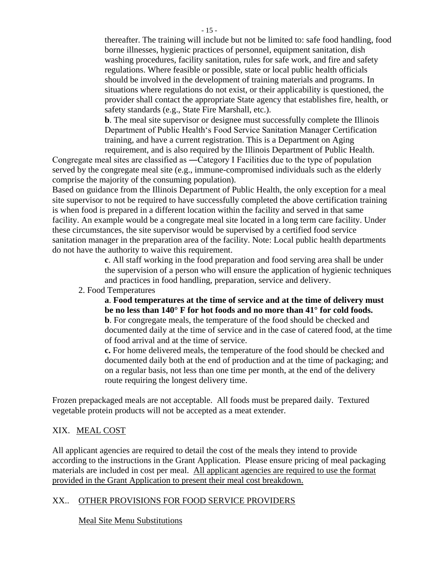thereafter. The training will include but not be limited to: safe food handling, food borne illnesses, hygienic practices of personnel, equipment sanitation, dish washing procedures, facility sanitation, rules for safe work, and fire and safety regulations. Where feasible or possible, state or local public health officials should be involved in the development of training materials and programs. In situations where regulations do not exist, or their applicability is questioned, the provider shall contact the appropriate State agency that establishes fire, health, or safety standards (e.g., State Fire Marshall, etc.).

**b**. The meal site supervisor or designee must successfully complete the Illinois Department of Public Health's Food Service Sanitation Manager Certification training, and have a current registration. This is a Department on Aging

requirement, and is also required by the Illinois Department of Public Health. Congregate meal sites are classified as ―Category I Facilities due to the type of population served by the congregate meal site (e.g., immune-compromised individuals such as the elderly comprise the majority of the consuming population).

Based on guidance from the Illinois Department of Public Health, the only exception for a meal site supervisor to not be required to have successfully completed the above certification training is when food is prepared in a different location within the facility and served in that same facility. An example would be a congregate meal site located in a long term care facility. Under these circumstances, the site supervisor would be supervised by a certified food service sanitation manager in the preparation area of the facility. Note: Local public health departments do not have the authority to waive this requirement.

> **c**. All staff working in the food preparation and food serving area shall be under the supervision of a person who will ensure the application of hygienic techniques and practices in food handling, preparation, service and delivery.

2. Food Temperatures

**a**. **Food temperatures at the time of service and at the time of delivery must be no less than 140° F for hot foods and no more than 41° for cold foods. b**. For congregate meals, the temperature of the food should be checked and documented daily at the time of service and in the case of catered food, at the time of food arrival and at the time of service.

**c.** For home delivered meals, the temperature of the food should be checked and documented daily both at the end of production and at the time of packaging; and on a regular basis, not less than one time per month, at the end of the delivery route requiring the longest delivery time.

Frozen prepackaged meals are not acceptable. All foods must be prepared daily. Textured vegetable protein products will not be accepted as a meat extender.

### XIX. MEAL COST

All applicant agencies are required to detail the cost of the meals they intend to provide according to the instructions in the Grant Application. Please ensure pricing of meal packaging materials are included in cost per meal. All applicant agencies are required to use the format provided in the Grant Application to present their meal cost breakdown.

### XX.. OTHER PROVISIONS FOR FOOD SERVICE PROVIDERS

Meal Site Menu Substitutions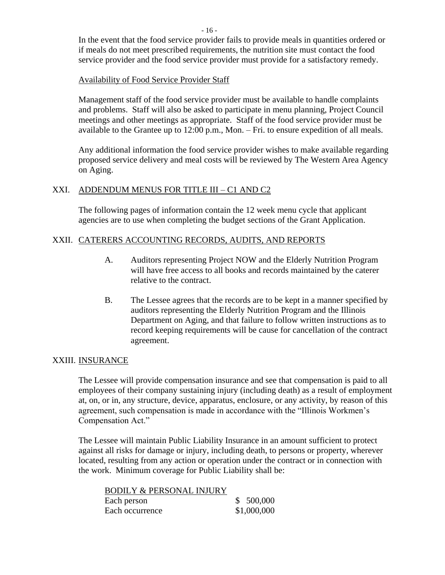- 16 -

In the event that the food service provider fails to provide meals in quantities ordered or if meals do not meet prescribed requirements, the nutrition site must contact the food service provider and the food service provider must provide for a satisfactory remedy.

### Availability of Food Service Provider Staff

Management staff of the food service provider must be available to handle complaints and problems. Staff will also be asked to participate in menu planning, Project Council meetings and other meetings as appropriate. Staff of the food service provider must be available to the Grantee up to 12:00 p.m., Mon. – Fri. to ensure expedition of all meals.

Any additional information the food service provider wishes to make available regarding proposed service delivery and meal costs will be reviewed by The Western Area Agency on Aging.

# XXI. ADDENDUM MENUS FOR TITLE III – C1 AND C2

The following pages of information contain the 12 week menu cycle that applicant agencies are to use when completing the budget sections of the Grant Application.

### XXII. CATERERS ACCOUNTING RECORDS, AUDITS, AND REPORTS

- A. Auditors representing Project NOW and the Elderly Nutrition Program will have free access to all books and records maintained by the caterer relative to the contract.
- B. The Lessee agrees that the records are to be kept in a manner specified by auditors representing the Elderly Nutrition Program and the Illinois Department on Aging, and that failure to follow written instructions as to record keeping requirements will be cause for cancellation of the contract agreement.

### XXIII. INSURANCE

The Lessee will provide compensation insurance and see that compensation is paid to all employees of their company sustaining injury (including death) as a result of employment at, on, or in, any structure, device, apparatus, enclosure, or any activity, by reason of this agreement, such compensation is made in accordance with the "Illinois Workmen's Compensation Act."

The Lessee will maintain Public Liability Insurance in an amount sufficient to protect against all risks for damage or injury, including death, to persons or property, wherever located, resulting from any action or operation under the contract or in connection with the work. Minimum coverage for Public Liability shall be:

| <b>BODILY &amp; PERSONAL INJURY</b> |             |
|-------------------------------------|-------------|
| Each person                         | \$500,000   |
| Each occurrence                     | \$1,000,000 |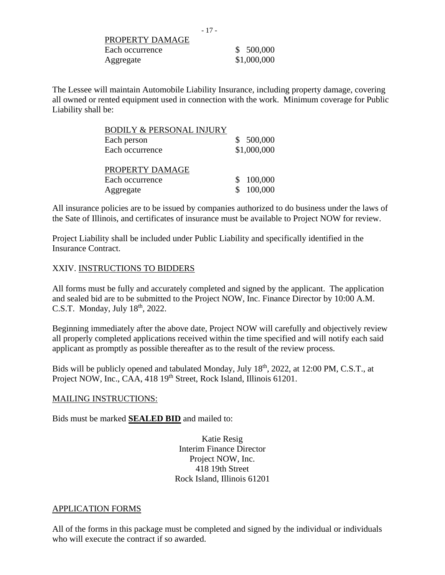PROPERTY DAMAGE Each occurrence  $$ 500,000$ Aggregate \$1,000,000

The Lessee will maintain Automobile Liability Insurance, including property damage, covering all owned or rented equipment used in connection with the work. Minimum coverage for Public Liability shall be:

| <b>BODILY &amp; PERSONAL INJURY</b> |             |
|-------------------------------------|-------------|
| Each person                         | \$500,000   |
| Each occurrence                     | \$1,000,000 |
|                                     |             |
| PROPERTY DAMAGE                     |             |
| Each occurrence                     | \$100,000   |
| Aggregate                           | 100,000     |

All insurance policies are to be issued by companies authorized to do business under the laws of the Sate of Illinois, and certificates of insurance must be available to Project NOW for review.

Project Liability shall be included under Public Liability and specifically identified in the Insurance Contract.

### XXIV. INSTRUCTIONS TO BIDDERS

All forms must be fully and accurately completed and signed by the applicant. The application and sealed bid are to be submitted to the Project NOW, Inc. Finance Director by 10:00 A.M. C.S.T. Monday, July 18<sup>th</sup>, 2022.

Beginning immediately after the above date, Project NOW will carefully and objectively review all properly completed applications received within the time specified and will notify each said applicant as promptly as possible thereafter as to the result of the review process.

Bids will be publicly opened and tabulated Monday, July 18<sup>th</sup>, 2022, at 12:00 PM, C.S.T., at Project NOW, Inc., CAA, 418 19<sup>th</sup> Street, Rock Island, Illinois 61201.

#### MAILING INSTRUCTIONS:

Bids must be marked **SEALED BID** and mailed to:

Katie Resig Interim Finance Director Project NOW, Inc. 418 19th Street Rock Island, Illinois 61201

### APPLICATION FORMS

All of the forms in this package must be completed and signed by the individual or individuals who will execute the contract if so awarded.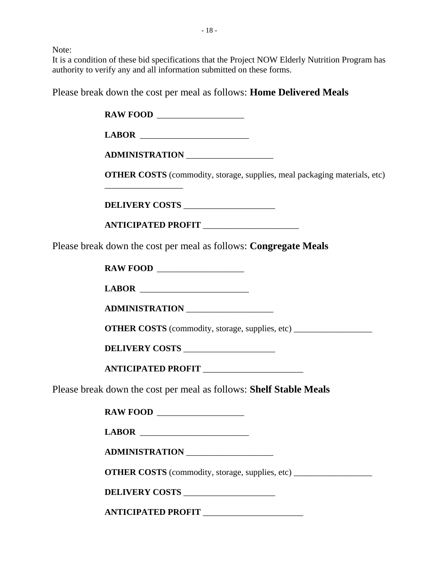Note:

It is a condition of these bid specifications that the Project NOW Elderly Nutrition Program has authority to verify any and all information submitted on these forms.

Please break down the cost per meal as follows: **Home Delivered Meals**

**RAW FOOD LABOR** \_\_\_\_\_\_\_\_\_\_\_\_\_\_\_\_\_\_\_\_\_\_\_\_\_ **ADMINISTRATION** \_\_\_\_\_\_\_\_\_\_\_\_\_\_\_\_\_\_\_\_ **OTHER COSTS** (commodity, storage, supplies, meal packaging materials, etc) \_\_\_\_\_\_\_\_\_\_\_\_\_\_\_\_\_\_ **DELIVERY COSTS** \_\_\_\_\_\_\_\_\_\_\_\_\_\_\_\_\_\_\_\_\_ **ANTICIPATED PROFIT** \_\_\_\_\_\_\_\_\_\_\_\_\_\_\_\_\_\_\_\_\_\_ Please break down the cost per meal as follows: **Congregate Meals RAW FOOD LABOR** \_\_\_\_\_\_\_\_\_\_\_\_\_\_\_\_\_\_\_\_\_\_\_\_\_ **ADMINISTRATION** \_\_\_\_\_\_\_\_\_\_\_\_\_\_\_\_\_\_\_\_ **OTHER COSTS** (commodity, storage, supplies, etc) **DELIVERY COSTS** \_\_\_\_\_\_\_\_\_\_\_\_\_\_\_\_\_\_\_\_\_ **ANTICIPATED PROFIT** \_\_\_\_\_\_\_\_\_\_\_\_\_\_\_\_\_\_\_\_\_\_\_ Please break down the cost per meal as follows: **Shelf Stable Meals RAW FOOD LABOR** \_\_\_\_\_\_\_\_\_\_\_\_\_\_\_\_\_\_\_\_\_\_\_\_\_ **ADMINISTRATION** \_\_\_\_\_\_\_\_\_\_\_\_\_\_\_\_\_\_\_\_ **OTHER COSTS** (commodity, storage, supplies, etc) **DELIVERY COSTS** \_\_\_\_\_\_\_\_\_\_\_\_\_\_\_\_\_\_\_\_\_

**ANTICIPATED PROFIT** \_\_\_\_\_\_\_\_\_\_\_\_\_\_\_\_\_\_\_\_\_\_\_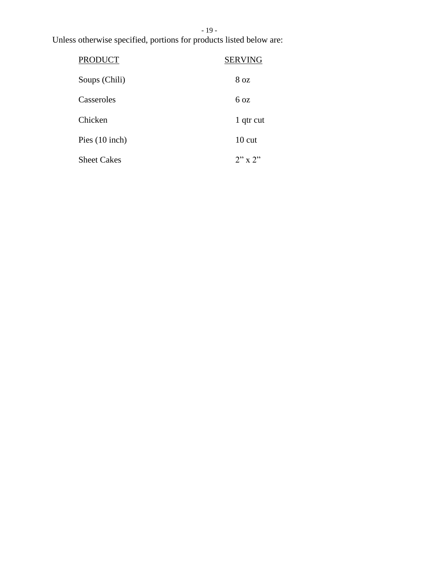# - 19 -

Unless otherwise specified, portions for products listed below are:

| <b>PRODUCT</b>     | <b>SERVING</b>   |
|--------------------|------------------|
| Soups (Chili)      | 8 oz             |
| Casseroles         | $6\,\text{oz}$   |
| Chicken            | 1 qtr cut        |
| Pies $(10$ inch)   | $10 \text{ cut}$ |
| <b>Sheet Cakes</b> | $2" \times 2"$   |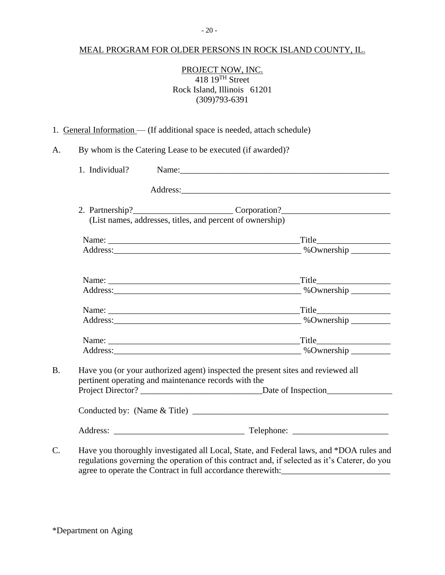### MEAL PROGRAM FOR OLDER PERSONS IN ROCK ISLAND COUNTY, IL.

## PROJECT NOW, INC.  $418\ 19$ <sup>TH</sup> Street Rock Island, Illinois 61201 (309)793-6391

1. General Information — (If additional space is needed, attach schedule)

A. By whom is the Catering Lease to be executed (if awarded)?

|                                                      | 1. Individual? Name: Name:                                                           |
|------------------------------------------------------|--------------------------------------------------------------------------------------|
|                                                      |                                                                                      |
|                                                      | 2. Partnership?____________________________Corporation?_________________________     |
|                                                      | (List names, addresses, titles, and percent of ownership)                            |
|                                                      |                                                                                      |
|                                                      |                                                                                      |
|                                                      |                                                                                      |
|                                                      |                                                                                      |
|                                                      |                                                                                      |
|                                                      |                                                                                      |
|                                                      |                                                                                      |
|                                                      |                                                                                      |
| pertinent operating and maintenance records with the | Have you (or your authorized agent) inspected the present sites and reviewed all     |
|                                                      |                                                                                      |
|                                                      |                                                                                      |
|                                                      |                                                                                      |
|                                                      | Hove you thoroughly investigated all Local State and Eederal laws and *DOA rules and |

C. Have you thoroughly investigated all Local, State, and Federal laws, and \*DOA rules and regulations governing the operation of this contract and, if selected as it's Caterer, do you agree to operate the Contract in full accordance therewith: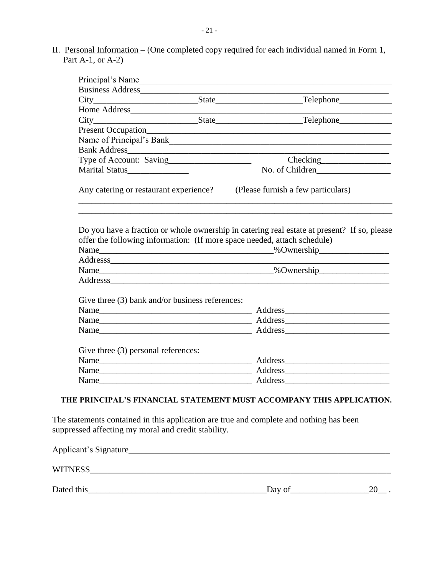II. Personal Information – (One completed copy required for each individual named in Form 1, Part A-1, or A-2)

| Principal's Name                                                                       | <u> 1989 - Johann Harry Harry Barbara, mars an t-Amerikaansk ferskeider (</u> |                                                                                                                                                                         |
|----------------------------------------------------------------------------------------|-------------------------------------------------------------------------------|-------------------------------------------------------------------------------------------------------------------------------------------------------------------------|
|                                                                                        |                                                                               |                                                                                                                                                                         |
|                                                                                        |                                                                               |                                                                                                                                                                         |
| Home Address                                                                           |                                                                               |                                                                                                                                                                         |
|                                                                                        |                                                                               |                                                                                                                                                                         |
|                                                                                        |                                                                               |                                                                                                                                                                         |
|                                                                                        |                                                                               |                                                                                                                                                                         |
|                                                                                        |                                                                               |                                                                                                                                                                         |
|                                                                                        |                                                                               |                                                                                                                                                                         |
| Marital Status                                                                         |                                                                               | No. of Children                                                                                                                                                         |
| Any catering or restaurant experience?                                                 |                                                                               | (Please furnish a few particulars)                                                                                                                                      |
|                                                                                        |                                                                               | Do you have a fraction or whole ownership in catering real estate at present? If so, please<br>offer the following information: (If more space needed, attach schedule) |
|                                                                                        |                                                                               |                                                                                                                                                                         |
|                                                                                        |                                                                               |                                                                                                                                                                         |
|                                                                                        |                                                                               |                                                                                                                                                                         |
|                                                                                        |                                                                               |                                                                                                                                                                         |
|                                                                                        |                                                                               |                                                                                                                                                                         |
|                                                                                        |                                                                               |                                                                                                                                                                         |
|                                                                                        |                                                                               |                                                                                                                                                                         |
|                                                                                        |                                                                               |                                                                                                                                                                         |
| Give three (3) bank and/or business references:<br>Give three (3) personal references: |                                                                               |                                                                                                                                                                         |

# **THE PRINCIPAL'S FINANCIAL STATEMENT MUST ACCOMPANY THIS APPLICATION.**

The statements contained in this application are true and complete and nothing has been suppressed affecting my moral and credit stability.

| Applicant's Signature_ |        |  |
|------------------------|--------|--|
| <b>WITNESS</b>         |        |  |
| Dated this             | Day of |  |